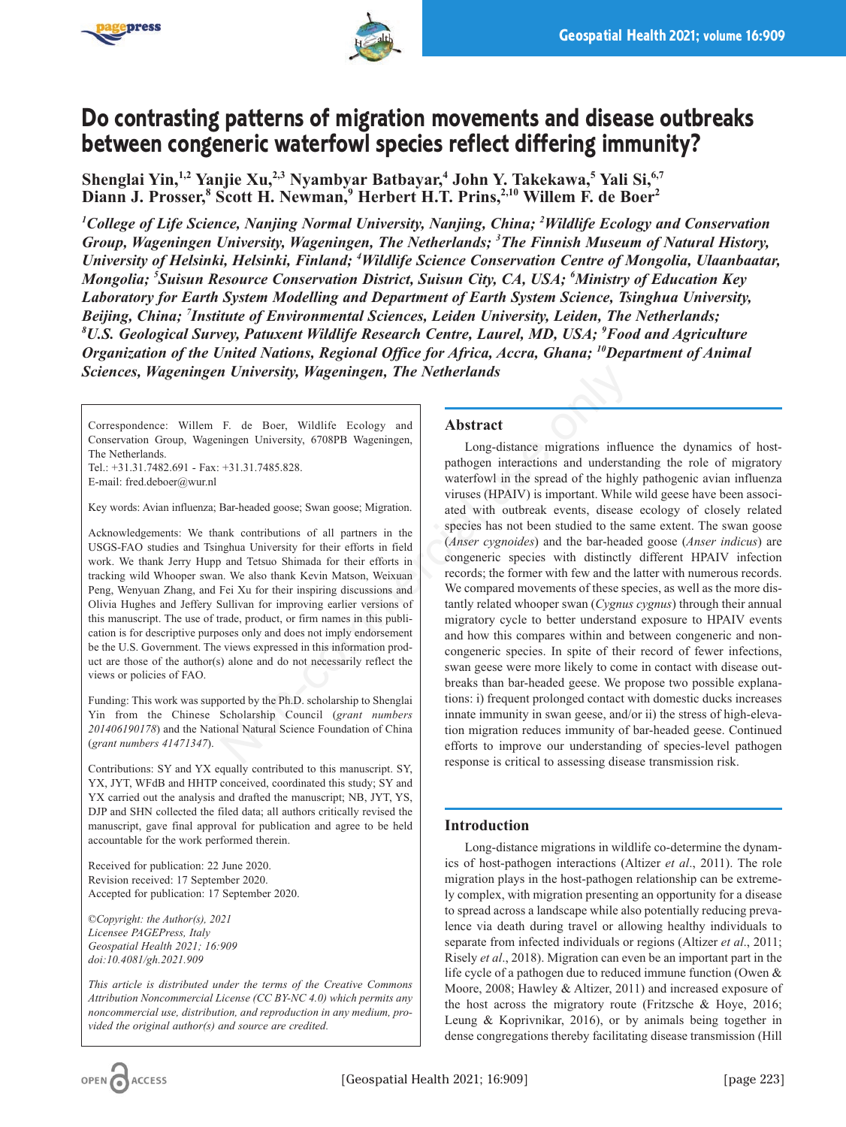



# **Do contrasting patterns of migration movements and disease outbreaks between congeneric waterfowl species reflect differing immunity?**

**Shenglai Yin,1,2 Yanjie Xu,2,3 Nyambyar Batbayar,4 John Y. Takekawa,5 Yali Si,6,7 Diann J. Prosser,8 Scott H. Newman,9 Herbert H.T. Prins,2,10 Willem F. de Boer2**

*1 College of Life Science, Nanjing Normal University, Nanjing, China; 2 Wildlife Ecology and Conservation Group, Wageningen University, Wageningen, The Netherlands; 3 The Finnish Museum of Natural History, University of Helsinki, Helsinki, Finland; 4 Wildlife Science Conservation Centre of Mongolia, Ulaanbaatar, Mongolia; 5 Suisun Resource Conservation District, Suisun City, CA, USA; 6 Ministry of Education Key Laboratory for Earth System Modelling and Department of Earth System Science, Tsinghua University, Beijing, China; 7 Institute of Environmental Sciences, Leiden University, Leiden, The Netherlands; 8 U.S. Geological Survey, Patuxent Wildlife Research Centre, Laurel, MD, USA; 9 Food and Agriculture Organization of the United Nations, Regional Office for Africa, Accra, Ghana; <sup>10</sup>Department of Animal Sciences, Wageningen University, Wageningen, The Netherlands*

Correspondence: Willem F. de Boer, Wildlife Ecology and Conservation Group, Wageningen University, 6708PB Wageningen, The Netherlands.

Tel.: +31.31.7482.691 - Fax: +31.31.7485.828. E-mail: fred.deboer@wur.nl

Key words: Avian influenza; Bar-headed goose; Swan goose; Migration.

Acknowledgements: We thank contributions of all partners in the USGS-FAO studies and Tsinghua University for their efforts in field work. We thank Jerry Hupp and Tetsuo Shimada for their efforts in tracking wild Whooper swan. We also thank Kevin Matson, Weixuan Peng, Wenyuan Zhang, and Fei Xu for their inspiring discussions and Olivia Hughes and Jeffery Sullivan for improving earlier versions of this manuscript. The use of trade, product, or firm names in this publication is for descriptive purposes only and does not imply endorsement be the U.S. Government. The views expressed in this information product are those of the author(s) alone and do not necessarily reflect the views or policies of FAO.

Funding: This work was supported by the Ph.D. scholarship to Shenglai Yin from the Chinese Scholarship Council (*grant numbers 201406190178*) and the National Natural Science Foundation of China (*grant numbers 41471347*).

Contributions: SY and YX equally contributed to this manuscript. SY, YX, JYT, WFdB and HHTP conceived, coordinated this study; SY and YX carried out the analysis and drafted the manuscript; NB, JYT, YS, DJP and SHN collected the filed data; all authors critically revised the manuscript, gave final approval for publication and agree to be held accountable for the work performed therein.

Received for publication: 22 June 2020. Revision received: 17 September 2020. Accepted for publication: 17 September 2020.

*©Copyright: the Author(s), 2021 Licensee PAGEPress, Italy Geospatial Health 2021; 16:909 doi:10.4081/gh.2021.909*

*This article is distributed under the terms of the Creative Commons Attribution Noncommercial License (CC BY-NC 4.0) which permits any noncommercial use, distribution, and reproduction in any medium, provided the original author(s) and source are credited.*

## **Abstract**

Long-distance migrations influence the dynamics of hostpathogen interactions and understanding the role of migratory waterfowl in the spread of the highly pathogenic avian influenza viruses (HPAIV) is important. While wild geese have been associated with outbreak events, disease ecology of closely related species has not been studied to the same extent. The swan goose (*Anser cygnoides*) and the bar-headed goose (*Anser indicus*) are congeneric species with distinctly different HPAIV infection records; the former with few and the latter with numerous records. We compared movements of these species, as well as the more distantly related whooper swan (*Cygnus cygnus*) through their annual migratory cycle to better understand exposure to HPAIV events and how this compares within and between congeneric and noncongeneric species. In spite of their record of fewer infections, swan geese were more likely to come in contact with disease outbreaks than bar-headed geese. We propose two possible explanations: i) frequent prolonged contact with domestic ducks increases innate immunity in swan geese, and/or ii) the stress of high-elevation migration reduces immunity of bar-headed geese. Continued efforts to improve our understanding of species-level pathogen response is critical to assessing disease transmission risk. **11. Vietnerial University, Wageningen, The Netherlands**<br>
F. de Boer, Wildlife Ecology and<br>
16.13.1.7485.828.<br>
16.13.1.7485.828.<br>
16.13.1.7485.828.<br>
16.13.1.7485.828.<br>
20.13.1.7485.828.<br>
20.13.1.7485.828.<br>
20.13.1.7485.8

# **Introduction**

Long-distance migrations in wildlife co-determine the dynamics of host-pathogen interactions (Altizer *et al*., 2011). The role migration plays in the host-pathogen relationship can be extremely complex, with migration presenting an opportunity for a disease to spread across a landscape while also potentially reducing prevalence via death during travel or allowing healthy individuals to separate from infected individuals or regions (Altizer *et al*., 2011; Risely *et al*., 2018). Migration can even be an important part in the life cycle of a pathogen due to reduced immune function (Owen & Moore, 2008; Hawley & Altizer, 2011) and increased exposure of the host across the migratory route (Fritzsche & Hoye, 2016; Leung & Koprivnikar, 2016), or by animals being together in dense congregations thereby facilitating disease transmission (Hill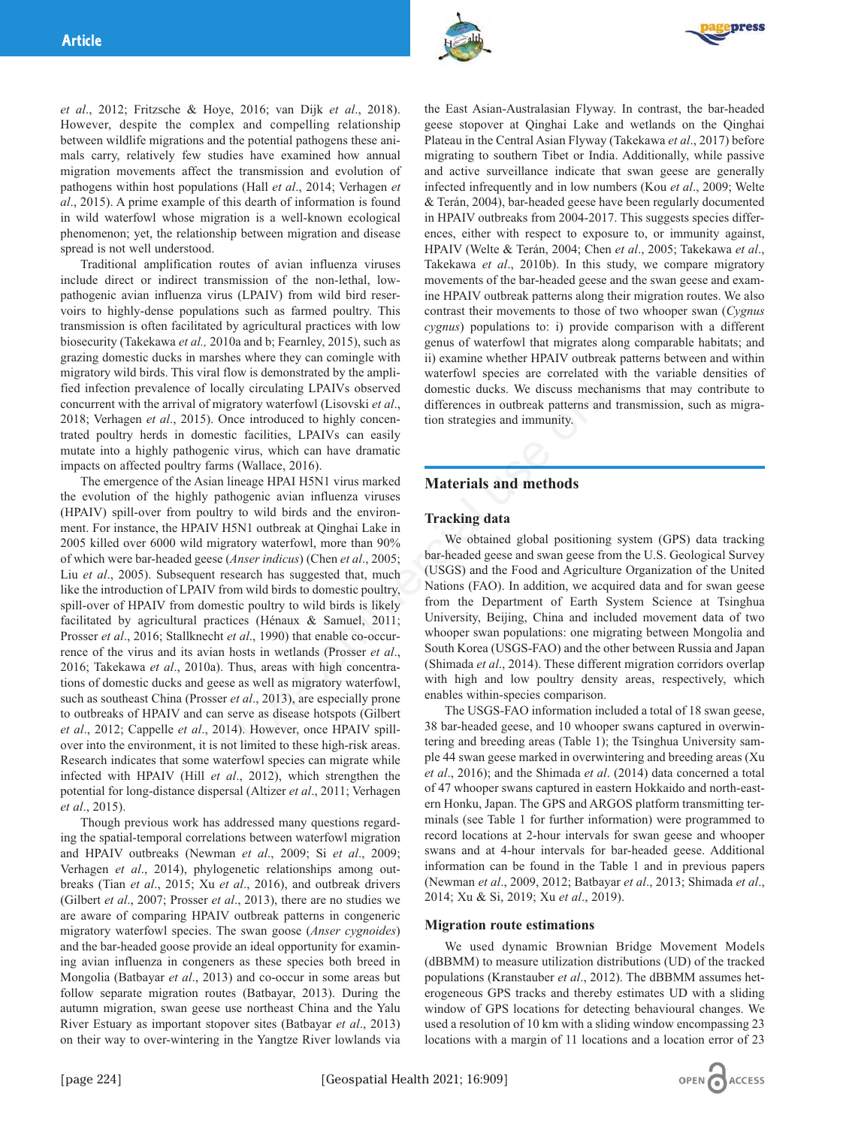



*et al*., 2012; Fritzsche & Hoye, 2016; van Dijk *et al*., 2018). However, despite the complex and compelling relationship between wildlife migrations and the potential pathogens these animals carry, relatively few studies have examined how annual migration movements affect the transmission and evolution of pathogens within host populations (Hall *et al*., 2014; Verhagen *et al*., 2015). A prime example of this dearth of information is found in wild waterfowl whose migration is a well-known ecological phenomenon; yet, the relationship between migration and disease spread is not well understood.

Traditional amplification routes of avian influenza viruses include direct or indirect transmission of the non-lethal, lowpathogenic avian influenza virus (LPAIV) from wild bird reservoirs to highly-dense populations such as farmed poultry. This transmission is often facilitated by agricultural practices with low biosecurity (Takekawa *et al.,* 2010a and b; Fearnley, 2015), such as grazing domestic ducks in marshes where they can comingle with migratory wild birds. This viral flow is demonstrated by the amplified infection prevalence of locally circulating LPAIVs observed concurrent with the arrival of migratory waterfowl (Lisovski *et al*., 2018; Verhagen *et al*., 2015). Once introduced to highly concentrated poultry herds in domestic facilities, LPAIVs can easily mutate into a highly pathogenic virus, which can have dramatic impacts on affected poultry farms (Wallace, 2016).

The emergence of the Asian lineage HPAI H5N1 virus marked the evolution of the highly pathogenic avian influenza viruses (HPAIV) spill-over from poultry to wild birds and the environment. For instance, the HPAIV H5N1 outbreak at Qinghai Lake in 2005 killed over 6000 wild migratory waterfowl, more than 90% of which were bar-headed geese (*Anser indicus*) (Chen *et al*., 2005; Liu *et al.*, 2005). Subsequent research has suggested that, much like the introduction of LPAIV from wild birds to domestic poultry, spill-over of HPAIV from domestic poultry to wild birds is likely facilitated by agricultural practices (Hénaux & Samuel, 2011; Prosser *et al*., 2016; Stallknecht *et al*., 1990) that enable co-occurrence of the virus and its avian hosts in wetlands (Prosser *et al*., 2016; Takekawa *et al*., 2010a). Thus, areas with high concentrations of domestic ducks and geese as well as migratory waterfowl, such as southeast China (Prosser *et al*., 2013), are especially prone to outbreaks of HPAIV and can serve as disease hotspots (Gilbert *et al*., 2012; Cappelle *et al*., 2014). However, once HPAIV spillover into the environment, it is not limited to these high-risk areas. Research indicates that some waterfowl species can migrate while infected with HPAIV (Hill *et al*., 2012), which strengthen the potential for long-distance dispersal (Altizer *et al*., 2011; Verhagen *et al*., 2015). flow is demonstrated by the ampli-<br>
uaterfowl species are correlated with<br>
cally circulating LPAIVs observed<br>
domestic ducks. We discuss mechanism<br>
Once introduced to highly concen-<br>
tion strategies and immunity.<br>
stic fa

Though previous work has addressed many questions regarding the spatial-temporal correlations between waterfowl migration and HPAIV outbreaks (Newman *et al*., 2009; Si *et al*., 2009; Verhagen *et al*., 2014), phylogenetic relationships among outbreaks (Tian *et al*., 2015; Xu *et al*., 2016), and outbreak drivers (Gilbert *et al*., 2007; Prosser *et al*., 2013), there are no studies we are aware of comparing HPAIV outbreak patterns in congeneric migratory waterfowl species. The swan goose (*Anser cygnoides*) and the bar-headed goose provide an ideal opportunity for examining avian influenza in congeners as these species both breed in Mongolia (Batbayar *et al*., 2013) and co-occur in some areas but follow separate migration routes (Batbayar, 2013). During the autumn migration, swan geese use northeast China and the Yalu River Estuary as important stopover sites (Batbayar *et al*., 2013) on their way to over-wintering in the Yangtze River lowlands via

the East Asian-Australasian Flyway. In contrast, the bar-headed geese stopover at Qinghai Lake and wetlands on the Qinghai Plateau in the Central Asian Flyway (Takekawa *et al*., 2017) before migrating to southern Tibet or India. Additionally, while passive and active surveillance indicate that swan geese are generally infected infrequently and in low numbers (Kou *et al*., 2009; Welte & Terán, 2004), bar-headed geese have been regularly documented in HPAIV outbreaks from 2004-2017. This suggests species differences, either with respect to exposure to, or immunity against, HPAIV (Welte & Terán, 2004; Chen *et al*., 2005; Takekawa *et al*., Takekawa *et al*., 2010b). In this study, we compare migratory movements of the bar-headed geese and the swan geese and examine HPAIV outbreak patterns along their migration routes. We also contrast their movements to those of two whooper swan (*Cygnus cygnus*) populations to: i) provide comparison with a different genus of waterfowl that migrates along comparable habitats; and ii) examine whether HPAIV outbreak patterns between and within waterfowl species are correlated with the variable densities of domestic ducks. We discuss mechanisms that may contribute to differences in outbreak patterns and transmission, such as migration strategies and immunity.

# **Materials and methods**

## **Tracking data**

We obtained global positioning system (GPS) data tracking bar-headed geese and swan geese from the U.S. Geological Survey (USGS) and the Food and Agriculture Organization of the United Nations (FAO). In addition, we acquired data and for swan geese from the Department of Earth System Science at Tsinghua University, Beijing, China and included movement data of two whooper swan populations: one migrating between Mongolia and South Korea (USGS-FAO) and the other between Russia and Japan (Shimada *et al*., 2014). These different migration corridors overlap with high and low poultry density areas, respectively, which enables within-species comparison.

The USGS-FAO information included a total of 18 swan geese, 38 bar-headed geese, and 10 whooper swans captured in overwintering and breeding areas (Table 1); the Tsinghua University sample 44 swan geese marked in overwintering and breeding areas (Xu *et al*., 2016); and the Shimada *et al*. (2014) data concerned a total of 47 whooper swans captured in eastern Hokkaido and north-eastern Honku, Japan. The GPS and ARGOS platform transmitting terminals (see Table 1 for further information) were programmed to record locations at 2-hour intervals for swan geese and whooper swans and at 4-hour intervals for bar-headed geese. Additional information can be found in the Table 1 and in previous papers (Newman *et al*., 2009, 2012; Batbayar *et al*., 2013; Shimada *et al*., 2014; Xu & Si, 2019; Xu *et al*., 2019).

#### **Migration route estimations**

We used dynamic Brownian Bridge Movement Models (dBBMM) to measure utilization distributions (UD) of the tracked populations (Kranstauber *et al*., 2012). The dBBMM assumes heterogeneous GPS tracks and thereby estimates UD with a sliding window of GPS locations for detecting behavioural changes. We used a resolution of 10 km with a sliding window encompassing 23 locations with a margin of 11 locations and a location error of 23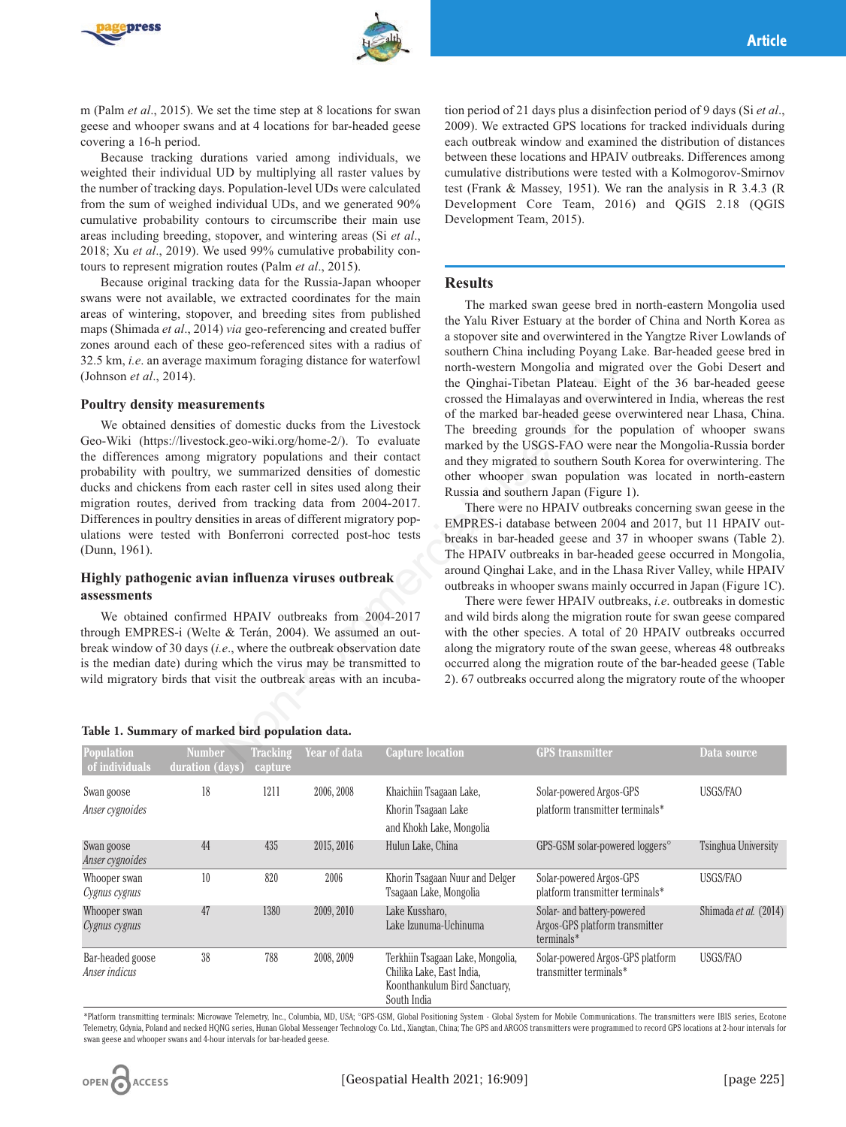



m (Palm *et al*., 2015). We set the time step at 8 locations for swan geese and whooper swans and at 4 locations for bar-headed geese covering a 16-h period.

Because tracking durations varied among individuals, we weighted their individual UD by multiplying all raster values by the number of tracking days. Population-level UDs were calculated from the sum of weighed individual UDs, and we generated 90% cumulative probability contours to circumscribe their main use areas including breeding, stopover, and wintering areas (Si *et al*., 2018; Xu *et al*., 2019). We used 99% cumulative probability contours to represent migration routes (Palm *et al*., 2015).

Because original tracking data for the Russia-Japan whooper swans were not available, we extracted coordinates for the main areas of wintering, stopover, and breeding sites from published maps (Shimada *et al*., 2014) *via* geo-referencing and created buffer zones around each of these geo-referenced sites with a radius of 32.5 km, *i.e*. an average maximum foraging distance for waterfowl (Johnson *et al*., 2014).

#### **Poultry density measurements**

We obtained densities of domestic ducks from the Livestock Geo-Wiki (https://livestock.geo-wiki.org/home-2/). To evaluate the differences among migratory populations and their contact probability with poultry, we summarized densities of domestic ducks and chickens from each raster cell in sites used along their migration routes, derived from tracking data from 2004-2017. Differences in poultry densities in areas of different migratory populations were tested with Bonferroni corrected post-hoc tests (Dunn, 1961). north-western Mongolia and migratic<br>
the Oinghai-Tibetan Plateau. Eight<br>
crossed the Himalayas and overvint<br>
of domestic ducks from the Livestock<br>
k.geo-wiki.org/home-2/). To evaluate<br>
marked by the USGS-FAO were neaver<br>
g

## **Highly pathogenic avian influenza viruses outbreak assessments**

We obtained confirmed HPAIV outbreaks from 2004-2017 through EMPRES-i (Welte & Terán, 2004). We assumed an outbreak window of 30 days (*i.e*., where the outbreak observation date is the median date) during which the virus may be transmitted to wild migratory birds that visit the outbreak areas with an incuba-

#### **Table 1. Summary of marked bird population data.**

tion period of 21 days plus a disinfection period of 9 days (Si *et al*., 2009). We extracted GPS locations for tracked individuals during each outbreak window and examined the distribution of distances between these locations and HPAIV outbreaks. Differences among cumulative distributions were tested with a Kolmogorov-Smirnov test (Frank & Massey, 1951). We ran the analysis in R 3.4.3 (R Development Core Team, 2016) and QGIS 2.18 (QGIS Development Team, 2015).

#### **Results**

The marked swan geese bred in north-eastern Mongolia used the Yalu River Estuary at the border of China and North Korea as a stopover site and overwintered in the Yangtze River Lowlands of southern China including Poyang Lake. Bar-headed geese bred in north-western Mongolia and migrated over the Gobi Desert and the Qinghai-Tibetan Plateau. Eight of the 36 bar-headed geese crossed the Himalayas and overwintered in India, whereas the rest of the marked bar-headed geese overwintered near Lhasa, China. The breeding grounds for the population of whooper swans marked by the USGS-FAO were near the Mongolia-Russia border and they migrated to southern South Korea for overwintering. The other whooper swan population was located in north-eastern Russia and southern Japan (Figure 1).

There were no HPAIV outbreaks concerning swan geese in the EMPRES-i database between 2004 and 2017, but 11 HPAIV outbreaks in bar-headed geese and 37 in whooper swans (Table 2). The HPAIV outbreaks in bar-headed geese occurred in Mongolia, around Qinghai Lake, and in the Lhasa River Valley, while HPAIV outbreaks in whooper swans mainly occurred in Japan (Figure 1C).

There were fewer HPAIV outbreaks, *i.e*. outbreaks in domestic and wild birds along the migration route for swan geese compared with the other species. A total of 20 HPAIV outbreaks occurred along the migratory route of the swan geese, whereas 48 outbreaks occurred along the migration route of the bar-headed geese (Table 2). 67 outbreaks occurred along the migratory route of the whooper

| <b>Population</b><br>of individuals | <b>Number</b><br>duration (days) | <b>Tracking</b><br>capture | Year of data | <b>Capture location</b>                                                                                       | <b>GPS</b> transmitter                                                       | Data source                |
|-------------------------------------|----------------------------------|----------------------------|--------------|---------------------------------------------------------------------------------------------------------------|------------------------------------------------------------------------------|----------------------------|
| Swan goose<br>Anser cygnoides       | 18                               | 1211                       | 2006, 2008   | Khaichiin Tsagaan Lake,<br>Khorin Tsagaan Lake<br>and Khokh Lake, Mongolia                                    | Solar-powered Argos-GPS<br>platform transmitter terminals*                   | USGS/FAO                   |
| Swan goose<br>Anser cygnoides       | 44                               | 435                        | 2015, 2016   | Hulun Lake, China                                                                                             | GPS-GSM solar-powered loggers <sup>o</sup>                                   | <b>Tsinghua University</b> |
| Whooper swan<br>Cygnus cygnus       | 10                               | 820                        | 2006         | Khorin Tsagaan Nuur and Delger<br>Tsagaan Lake, Mongolia                                                      | Solar-powered Argos-GPS<br>platform transmitter terminals*                   | USGS/FAO                   |
| Whooper swan<br>Cygnus cygnus       | 47                               | 1380                       | 2009, 2010   | Lake Kussharo,<br>Lake Izunuma-Uchinuma                                                                       | Solar- and battery-powered<br>Argos-GPS platform transmitter<br>$terminals*$ | Shimada et al. (2014)      |
| Bar-headed goose<br>Anser indicus   | 38                               | 788                        | 2008, 2009   | Terkhiin Tsagaan Lake, Mongolia,<br>Chilika Lake, East India,<br>Koonthankulum Bird Sanctuary,<br>South India | Solar-powered Argos-GPS platform<br>transmitter terminals*                   | USGS/FAO                   |

\*Platform transmitting terminals: Microwave Telemetry, Inc., Columbia, MD, USA; °GPS-GSM, Global Positioning System - Global System for Mobile Communications. The transmitters were IBIS series, Ecotone Telemetry, Gdynia, Poland and necked HQNG series, Hunan Global Messenger Technology Co. Ltd., Xiangtan, China; The GPS and ARGOS transmitters were programmed to record GPS locations at 2-hour intervals for swan geese and whooper swans and 4-hour intervals for bar-headed geese.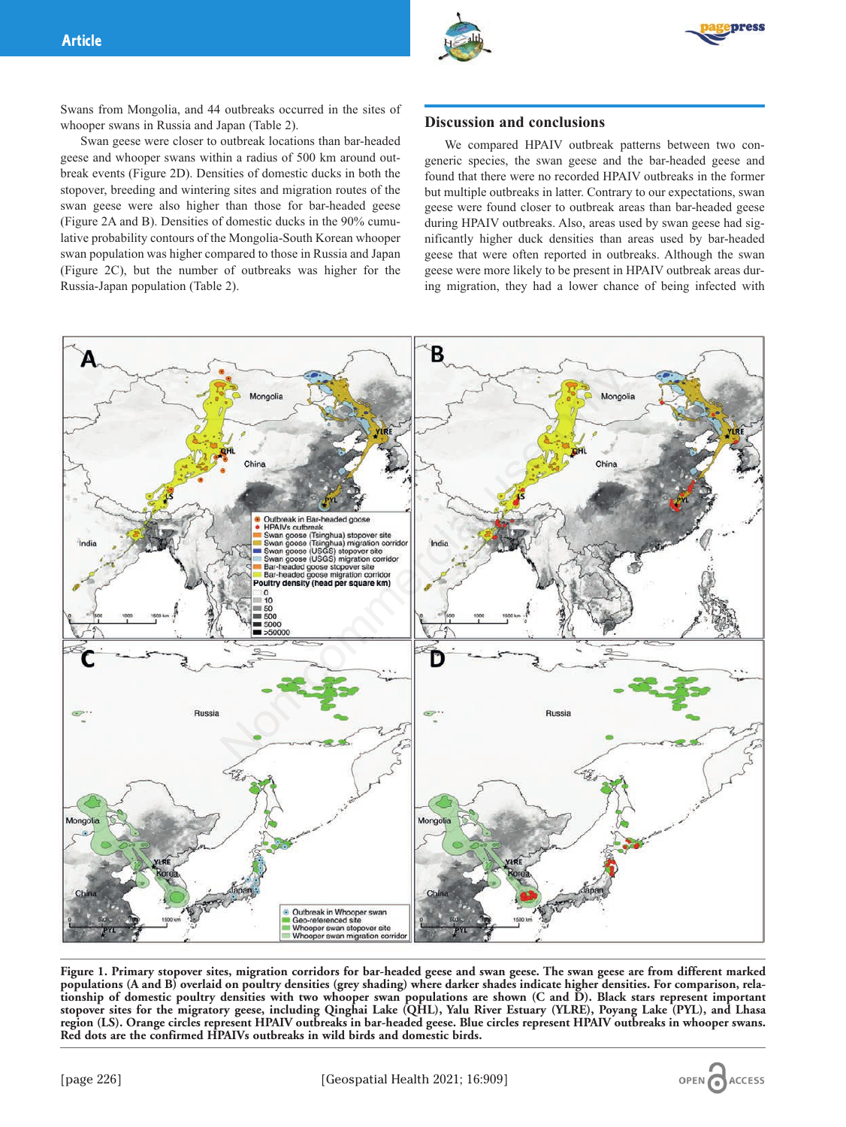



Swans from Mongolia, and 44 outbreaks occurred in the sites of whooper swans in Russia and Japan (Table 2).

Swan geese were closer to outbreak locations than bar-headed geese and whooper swans within a radius of 500 km around outbreak events (Figure 2D). Densities of domestic ducks in both the stopover, breeding and wintering sites and migration routes of the swan geese were also higher than those for bar-headed geese (Figure 2A and B). Densities of domestic ducks in the 90% cumulative probability contours of the Mongolia-South Korean whooper swan population was higher compared to those in Russia and Japan (Figure 2C), but the number of outbreaks was higher for the Russia-Japan population (Table 2).

# **Discussion and conclusions**

We compared HPAIV outbreak patterns between two congeneric species, the swan geese and the bar-headed geese and found that there were no recorded HPAIV outbreaks in the former but multiple outbreaks in latter. Contrary to our expectations, swan geese were found closer to outbreak areas than bar-headed geese during HPAIV outbreaks. Also, areas used by swan geese had significantly higher duck densities than areas used by bar-headed geese that were often reported in outbreaks. Although the swan geese were more likely to be present in HPAIV outbreak areas during migration, they had a lower chance of being infected with



**Figure 1. Primary stopover sites, migration corridors for bar-headed geese and swan geese. The swan geese are from different marked populations (A and B) overlaid on poultry densities (grey shading) where darker shades indicate higher densities. For comparison, relationship of domestic poultry densities with two whooper swan populations are shown (C and D). Black stars represent important stopover sites for the migratory geese, including Qinghai Lake (QHL), Yalu River Estuary (YLRE), Poyang Lake (PYL), and Lhasa region (LS). Orange circles represent HPAIV outbreaks in bar-headed geese. Blue circles represent HPAIV outbreaks in whooper swans. Red dots are the confirmed HPAIVs outbreaks in wild birds and domestic birds.**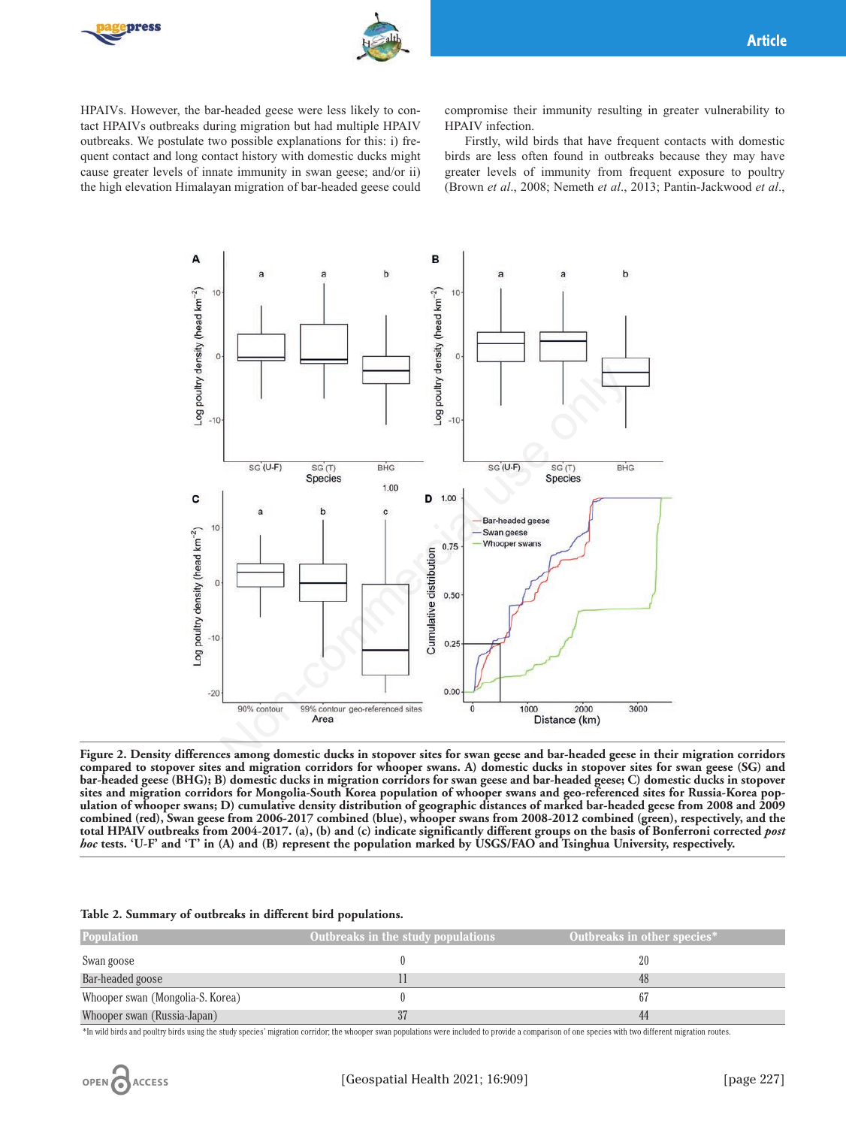



HPAIVs. However, the bar-headed geese were less likely to contact HPAIVs outbreaks during migration but had multiple HPAIV outbreaks. We postulate two possible explanations for this: i) frequent contact and long contact history with domestic ducks might cause greater levels of innate immunity in swan geese; and/or ii) the high elevation Himalayan migration of bar-headed geese could

compromise their immunity resulting in greater vulnerability to HPAIV infection.

Firstly, wild birds that have frequent contacts with domestic birds are less often found in outbreaks because they may have greater levels of immunity from frequent exposure to poultry (Brown *et al*., 2008; Nemeth *et al*., 2013; Pantin-Jackwood *et al*.,



**Figure 2. Density differences among domestic ducks in stopover sites for swan geese and bar-headed geese in their migration corridors compared to stopover sites and migration corridors for whooper swans. A) domestic ducks in stopover sites for swan geese (SG) and bar-headed geese (BHG); B) domestic ducks in migration corridors for swan geese and bar-headed geese; C) domestic ducks in stopover sites and migration corridors for Mongolia-South Korea population of whooper swans and geo-referenced sites for Russia-Korea population of whooper swans; D) cumulative density distribution of geographic distances of marked bar-headed geese from 2008 and 2009 combined (red), Swan geese from 2006-2017 combined (blue), whooper swans from 2008-2012 combined (green), respectively, and the total HPAIV outbreaks from 2004-2017. (a), (b) and (c) indicate significantly different groups on the basis of Bonferroni corrected** *post hoc* **tests. 'U-F' and 'T' in (A) and (B) represent the population marked by USGS/FAO and Tsinghua University, respectively.** 

#### **Table 2. Summary of outbreaks in different bird populations.**

| <b>Population</b>                | Outbreaks in the study populations | Outbreaks in other species* |
|----------------------------------|------------------------------------|-----------------------------|
| Swan goose                       |                                    | 20                          |
| Bar-headed goose                 |                                    |                             |
| Whooper swan (Mongolia-S. Korea) |                                    |                             |
| Whooper swan (Russia-Japan)      |                                    | 44                          |

\*In wild birds and poultry birds using the study species' migration corridor; the whooper swan populations were included to provide a comparison of one species with two different migration routes.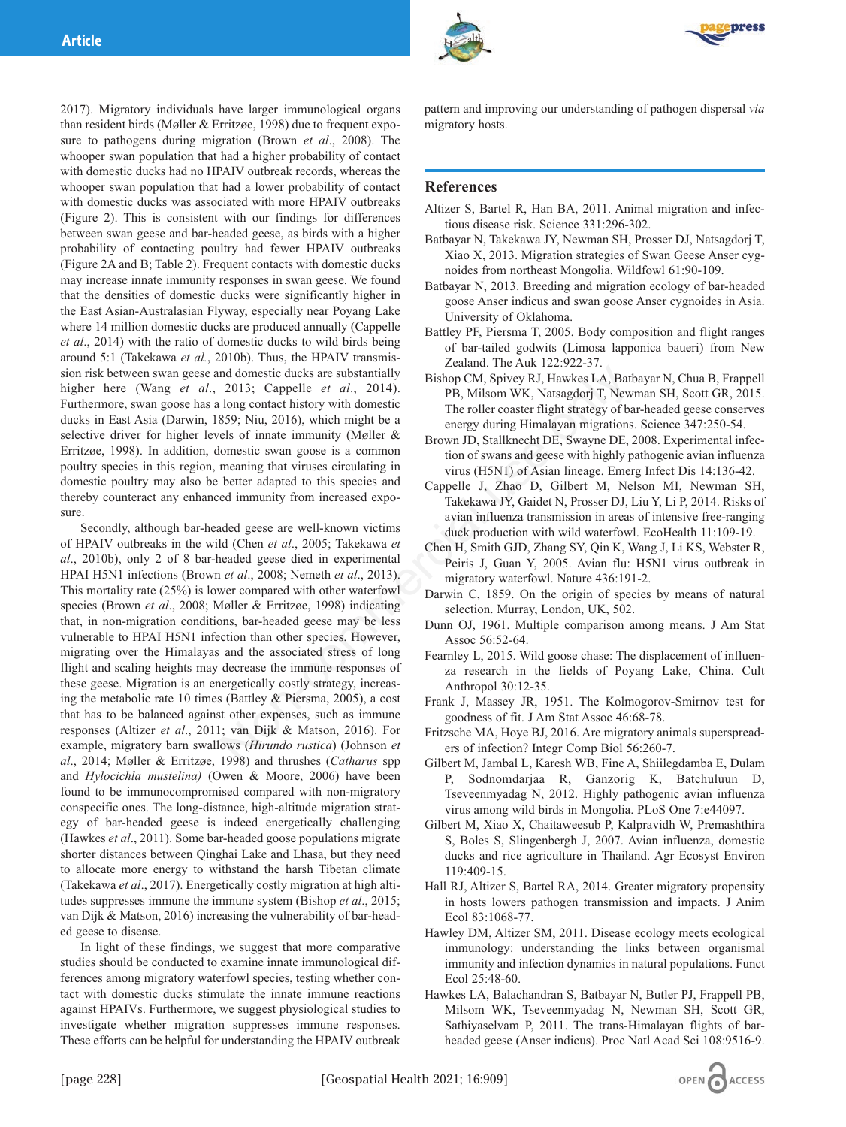2017). Migratory individuals have larger immunological organs than resident birds (Møller & Erritzøe, 1998) due to frequent exposure to pathogens during migration (Brown *et al*., 2008). The whooper swan population that had a higher probability of contact with domestic ducks had no HPAIV outbreak records, whereas the whooper swan population that had a lower probability of contact with domestic ducks was associated with more HPAIV outbreaks (Figure 2). This is consistent with our findings for differences between swan geese and bar-headed geese, as birds with a higher probability of contacting poultry had fewer HPAIV outbreaks (Figure 2A and B; Table 2). Frequent contacts with domestic ducks may increase innate immunity responses in swan geese. We found that the densities of domestic ducks were significantly higher in the East Asian-Australasian Flyway, especially near Poyang Lake where 14 million domestic ducks are produced annually (Cappelle *et al*., 2014) with the ratio of domestic ducks to wild birds being around 5:1 (Takekawa *et al.*, 2010b). Thus, the HPAIV transmission risk between swan geese and domestic ducks are substantially higher here (Wang *et al*., 2013; Cappelle *et al*., 2014). Furthermore, swan goose has a long contact history with domestic ducks in East Asia (Darwin, 1859; Niu, 2016), which might be a selective driver for higher levels of innate immunity (Møller & Erritzøe, 1998). In addition, domestic swan goose is a common poultry species in this region, meaning that viruses circulating in domestic poultry may also be better adapted to this species and thereby counteract any enhanced immunity from increased exposure.

Secondly, although bar-headed geese are well-known victims of HPAIV outbreaks in the wild (Chen *et al*., 2005; Takekawa *et al*., 2010b), only 2 of 8 bar-headed geese died in experimental HPAI H5N1 infections (Brown *et al*., 2008; Nemeth *et al*., 2013). This mortality rate (25%) is lower compared with other waterfowl species (Brown *et al*., 2008; Møller & Erritzøe, 1998) indicating that, in non-migration conditions, bar-headed geese may be less vulnerable to HPAI H5N1 infection than other species. However, migrating over the Himalayas and the associated stress of long flight and scaling heights may decrease the immune responses of these geese. Migration is an energetically costly strategy, increasing the metabolic rate 10 times (Battley & Piersma, 2005), a cost that has to be balanced against other expenses, such as immune responses (Altizer *et al*., 2011; van Dijk & Matson, 2016). For example, migratory barn swallows (*Hirundo rustica*) (Johnson *et al*., 2014; Møller & Erritzøe, 1998) and thrushes (*Catharus* spp and *Hylocichla mustelina)* (Owen & Moore, 2006) have been found to be immunocompromised compared with non-migratory conspecific ones. The long-distance, high-altitude migration strategy of bar-headed geese is indeed energetically challenging (Hawkes *et al*., 2011). Some bar-headed goose populations migrate shorter distances between Qinghai Lake and Lhasa, but they need to allocate more energy to withstand the harsh Tibetan climate (Takekawa *et al*., 2017). Energetically costly migration at high altitudes suppresses immune the immune system (Bishop *et al*., 2015; van Dijk & Matson, 2016) increasing the vulnerability of bar-headed geese to disease. nd domestic ducks are substantially<br>
Bishop CM, Spivey RJ, Hawkes LA, Bat<br>
2013; Capelle *et al.*, 2014).<br>
Imp. OM, Spivey RJ, Hawkes LA, Bat<br>
long contact history with domestic<br>
S59; Niu, 2016), which might be a<br>
energy

In light of these findings, we suggest that more comparative studies should be conducted to examine innate immunological differences among migratory waterfowl species, testing whether contact with domestic ducks stimulate the innate immune reactions against HPAIVs. Furthermore, we suggest physiological studies to investigate whether migration suppresses immune responses. These efforts can be helpful for understanding the HPAIV outbreak

pattern and improving our understanding of pathogen dispersal *via* migratory hosts.

# **References**

- Altizer S, Bartel R, Han BA, 2011. Animal migration and infectious disease risk. Science 331:296-302.
- Batbayar N, Takekawa JY, Newman SH, Prosser DJ, Natsagdorj T, Xiao X, 2013. Migration strategies of Swan Geese Anser cygnoides from northeast Mongolia. Wildfowl 61:90-109.
- Batbayar N, 2013. Breeding and migration ecology of bar-headed goose Anser indicus and swan goose Anser cygnoides in Asia. University of Oklahoma.
- Battley PF, Piersma T, 2005. Body composition and flight ranges of bar-tailed godwits (Limosa lapponica baueri) from New Zealand. The Auk 122:922-37.
- Bishop CM, Spivey RJ, Hawkes LA, Batbayar N, Chua B, Frappell PB, Milsom WK, Natsagdorj T, Newman SH, Scott GR, 2015. The roller coaster flight strategy of bar-headed geese conserves energy during Himalayan migrations. Science 347:250-54.
- Brown JD, Stallknecht DE, Swayne DE, 2008. Experimental infection of swans and geese with highly pathogenic avian influenza virus (H5N1) of Asian lineage. Emerg Infect Dis 14:136-42.
- Cappelle J, Zhao D, Gilbert M, Nelson MI, Newman SH, Takekawa JY, Gaidet N, Prosser DJ, Liu Y, Li P, 2014. Risks of avian influenza transmission in areas of intensive free-ranging duck production with wild waterfowl. EcoHealth 11:109-19.
- Chen H, Smith GJD, Zhang SY, Qin K, Wang J, Li KS, Webster R, Peiris J, Guan Y, 2005. Avian flu: H5N1 virus outbreak in migratory waterfowl. Nature 436:191-2.
- Darwin C, 1859. On the origin of species by means of natural selection. Murray, London, UK, 502.
- Dunn OJ, 1961. Multiple comparison among means. J Am Stat Assoc 56:52-64.
- Fearnley L, 2015. Wild goose chase: The displacement of influenza research in the fields of Poyang Lake, China. Cult Anthropol 30:12-35.
- Frank J, Massey JR, 1951. The Kolmogorov-Smirnov test for goodness of fit. J Am Stat Assoc 46:68-78.
- Fritzsche MA, Hoye BJ, 2016. Are migratory animals superspreaders of infection? Integr Comp Biol 56:260-7.
- Gilbert M, Jambal L, Karesh WB, Fine A, Shiilegdamba E, Dulam P, Sodnomdarjaa R, Ganzorig K, Batchuluun D, Tseveenmyadag N, 2012. Highly pathogenic avian influenza virus among wild birds in Mongolia. PLoS One 7:e44097.
- Gilbert M, Xiao X, Chaitaweesub P, Kalpravidh W, Premashthira S, Boles S, Slingenbergh J, 2007. Avian influenza, domestic ducks and rice agriculture in Thailand. Agr Ecosyst Environ 119:409-15.
- Hall RJ, Altizer S, Bartel RA, 2014. Greater migratory propensity in hosts lowers pathogen transmission and impacts. J Anim Ecol 83:1068-77.
- Hawley DM, Altizer SM, 2011. Disease ecology meets ecological immunology: understanding the links between organismal immunity and infection dynamics in natural populations. Funct Ecol 25:48-60.
- Hawkes LA, Balachandran S, Batbayar N, Butler PJ, Frappell PB, Milsom WK, Tseveenmyadag N, Newman SH, Scott GR, Sathiyaselvam P, 2011. The trans-Himalayan flights of barheaded geese (Anser indicus). Proc Natl Acad Sci 108:9516-9.

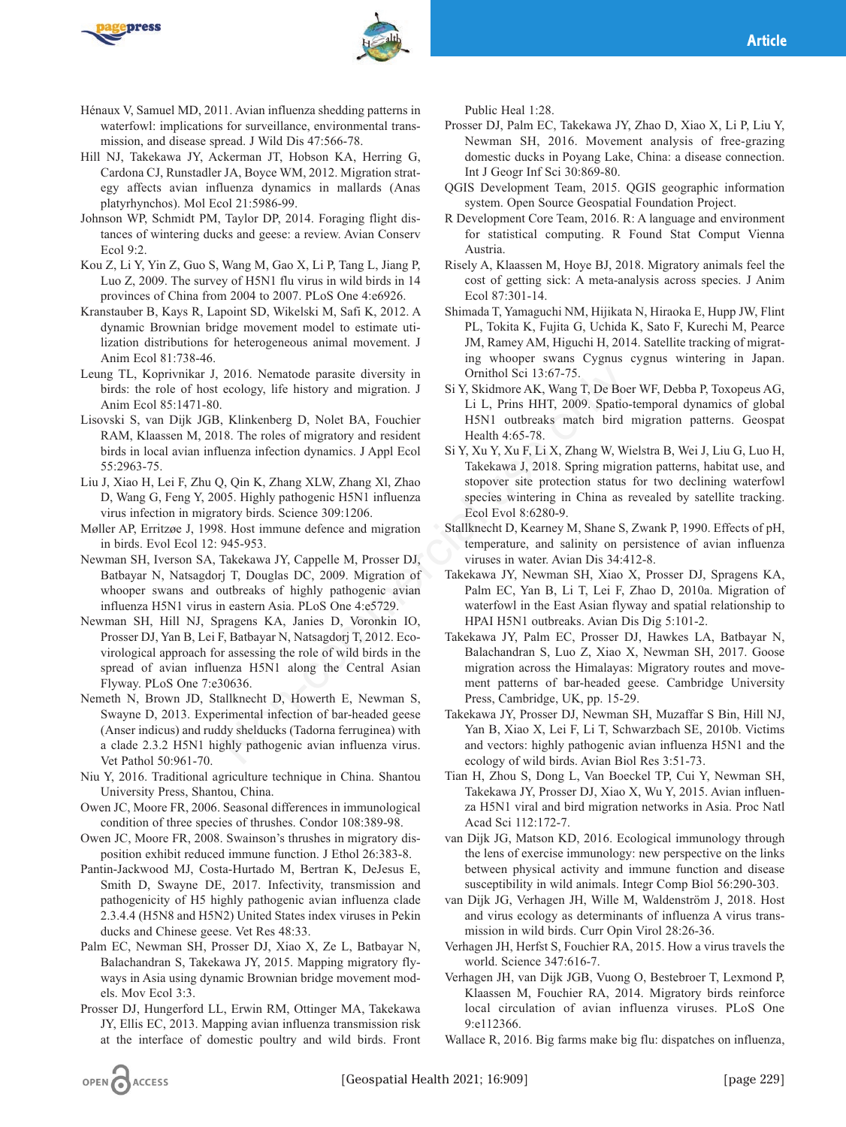



- Hénaux V, Samuel MD, 2011. Avian influenza shedding patterns in waterfowl: implications for surveillance, environmental transmission, and disease spread. J Wild Dis 47:566-78.
- Hill NJ, Takekawa JY, Ackerman JT, Hobson KA, Herring G, Cardona CJ, Runstadler JA, Boyce WM, 2012. Migration strategy affects avian influenza dynamics in mallards (Anas platyrhynchos). Mol Ecol 21:5986-99.
- Johnson WP, Schmidt PM, Taylor DP, 2014. Foraging flight distances of wintering ducks and geese: a review. Avian Conserv Ecol 9:2.
- Kou Z, Li Y, Yin Z, Guo S, Wang M, Gao X, Li P, Tang L, Jiang P, Luo Z, 2009. The survey of H5N1 flu virus in wild birds in 14 provinces of China from 2004 to 2007. PLoS One 4:e6926.
- Kranstauber B, Kays R, Lapoint SD, Wikelski M, Safi K, 2012. A dynamic Brownian bridge movement model to estimate utilization distributions for heterogeneous animal movement. J Anim Ecol 81:738-46.
- Leung TL, Koprivnikar J, 2016. Nematode parasite diversity in birds: the role of host ecology, life history and migration. J Anim Ecol 85:1471-80.
- Lisovski S, van Dijk JGB, Klinkenberg D, Nolet BA, Fouchier RAM, Klaassen M, 2018. The roles of migratory and resident birds in local avian influenza infection dynamics. J Appl Ecol 55:2963-75.
- Liu J, Xiao H, Lei F, Zhu Q, Qin K, Zhang XLW, Zhang Xl, Zhao D, Wang G, Feng Y, 2005. Highly pathogenic H5N1 influenza virus infection in migratory birds. Science 309:1206.
- Møller AP, Erritzøe J, 1998. Host immune defence and migration in birds. Evol Ecol 12: 945-953.
- Newman SH, Iverson SA, Takekawa JY, Cappelle M, Prosser DJ, Batbayar N, Natsagdorj T, Douglas DC, 2009. Migration of whooper swans and outbreaks of highly pathogenic avian influenza H5N1 virus in eastern Asia. PLoS One 4:e5729.
- Newman SH, Hill NJ, Spragens KA, Janies D, Voronkin IO, Prosser DJ, Yan B, Lei F, Batbayar N, Natsagdorj T, 2012. Ecovirological approach for assessing the role of wild birds in the spread of avian influenza H5N1 along the Central Asian Flyway. PLoS One 7:e30636. 2016. Nematode parasite diversity in Comithol Sci 13:67-75.<br>
cology, life history and migration. J Si Y, Kiklmore AK, Warg T, De Boe<br>
.<br>
Xinkenberg D, Nolet BA, Fouchier HSN1 outbreaks match bird<br>
18. The roles of migrato
- Nemeth N, Brown JD, Stallknecht D, Howerth E, Newman S, Swayne D, 2013. Experimental infection of bar-headed geese (Anser indicus) and ruddy shelducks (Tadorna ferruginea) with a clade 2.3.2 H5N1 highly pathogenic avian influenza virus. Vet Pathol 50:961-70.
- Niu Y, 2016. Traditional agriculture technique in China. Shantou University Press, Shantou, China.
- Owen JC, Moore FR, 2006. Seasonal differences in immunological condition of three species of thrushes. Condor 108:389-98.
- Owen JC, Moore FR, 2008. Swainson's thrushes in migratory disposition exhibit reduced immune function. J Ethol 26:383-8.
- Pantin-Jackwood MJ, Costa-Hurtado M, Bertran K, DeJesus E, Smith D, Swayne DE, 2017. Infectivity, transmission and pathogenicity of H5 highly pathogenic avian influenza clade 2.3.4.4 (H5N8 and H5N2) United States index viruses in Pekin ducks and Chinese geese. Vet Res 48:33.
- Palm EC, Newman SH, Prosser DJ, Xiao X, Ze L, Batbayar N, Balachandran S, Takekawa JY, 2015. Mapping migratory flyways in Asia using dynamic Brownian bridge movement models. Mov Ecol 3:3.
- Prosser DJ, Hungerford LL, Erwin RM, Ottinger MA, Takekawa JY, Ellis EC, 2013. Mapping avian influenza transmission risk at the interface of domestic poultry and wild birds. Front

Public Heal 1:28.

- Prosser DJ, Palm EC, Takekawa JY, Zhao D, Xiao X, Li P, Liu Y, Newman SH, 2016. Movement analysis of free-grazing domestic ducks in Poyang Lake, China: a disease connection. Int J Geogr Inf Sci 30:869-80.
- QGIS Development Team, 2015. QGIS geographic information system. Open Source Geospatial Foundation Project.
- R Development Core Team, 2016. R: A language and environment for statistical computing. R Found Stat Comput Vienna Austria.
- Risely A, Klaassen M, Hoye BJ, 2018. Migratory animals feel the cost of getting sick: A meta-analysis across species. J Anim Ecol 87:301-14.
- Shimada T, Yamaguchi NM, Hijikata N, Hiraoka E, Hupp JW, Flint PL, Tokita K, Fujita G, Uchida K, Sato F, Kurechi M, Pearce JM, Ramey AM, Higuchi H, 2014. Satellite tracking of migrating whooper swans Cygnus cygnus wintering in Japan. Ornithol Sci 13:67-75.
- Si Y, Skidmore AK, Wang T, De Boer WF, Debba P, Toxopeus AG, Li L, Prins HHT, 2009. Spatio-temporal dynamics of global H5N1 outbreaks match bird migration patterns. Geospat Health 4:65-78.
- Si Y, Xu Y, Xu F, Li X, Zhang W, Wielstra B, Wei J, Liu G, Luo H, Takekawa J, 2018. Spring migration patterns, habitat use, and stopover site protection status for two declining waterfowl species wintering in China as revealed by satellite tracking. Ecol Evol 8:6280-9.
- Stallknecht D, Kearney M, Shane S, Zwank P, 1990. Effects of pH, temperature, and salinity on persistence of avian influenza viruses in water. Avian Dis 34:412-8.
- Takekawa JY, Newman SH, Xiao X, Prosser DJ, Spragens KA, Palm EC, Yan B, Li T, Lei F, Zhao D, 2010a. Migration of waterfowl in the East Asian flyway and spatial relationship to HPAI H5N1 outbreaks. Avian Dis Dig 5:101-2.
- Takekawa JY, Palm EC, Prosser DJ, Hawkes LA, Batbayar N, Balachandran S, Luo Z, Xiao X, Newman SH, 2017. Goose migration across the Himalayas: Migratory routes and movement patterns of bar-headed geese. Cambridge University Press, Cambridge, UK, pp. 15-29.
- Takekawa JY, Prosser DJ, Newman SH, Muzaffar S Bin, Hill NJ, Yan B, Xiao X, Lei F, Li T, Schwarzbach SE, 2010b. Victims and vectors: highly pathogenic avian influenza H5N1 and the ecology of wild birds. Avian Biol Res 3:51-73.
- Tian H, Zhou S, Dong L, Van Boeckel TP, Cui Y, Newman SH, Takekawa JY, Prosser DJ, Xiao X, Wu Y, 2015. Avian influenza H5N1 viral and bird migration networks in Asia. Proc Natl Acad Sci 112:172-7.
- van Dijk JG, Matson KD, 2016. Ecological immunology through the lens of exercise immunology: new perspective on the links between physical activity and immune function and disease susceptibility in wild animals. Integr Comp Biol 56:290-303.
- van Dijk JG, Verhagen JH, Wille M, Waldenström J, 2018. Host and virus ecology as determinants of influenza A virus transmission in wild birds. Curr Opin Virol 28:26-36.
- Verhagen JH, Herfst S, Fouchier RA, 2015. How a virus travels the world. Science 347:616-7.
- Verhagen JH, van Dijk JGB, Vuong O, Bestebroer T, Lexmond P, Klaassen M, Fouchier RA, 2014. Migratory birds reinforce local circulation of avian influenza viruses. PLoS One 9:e112366.
- Wallace R, 2016. Big farms make big flu: dispatches on influenza,